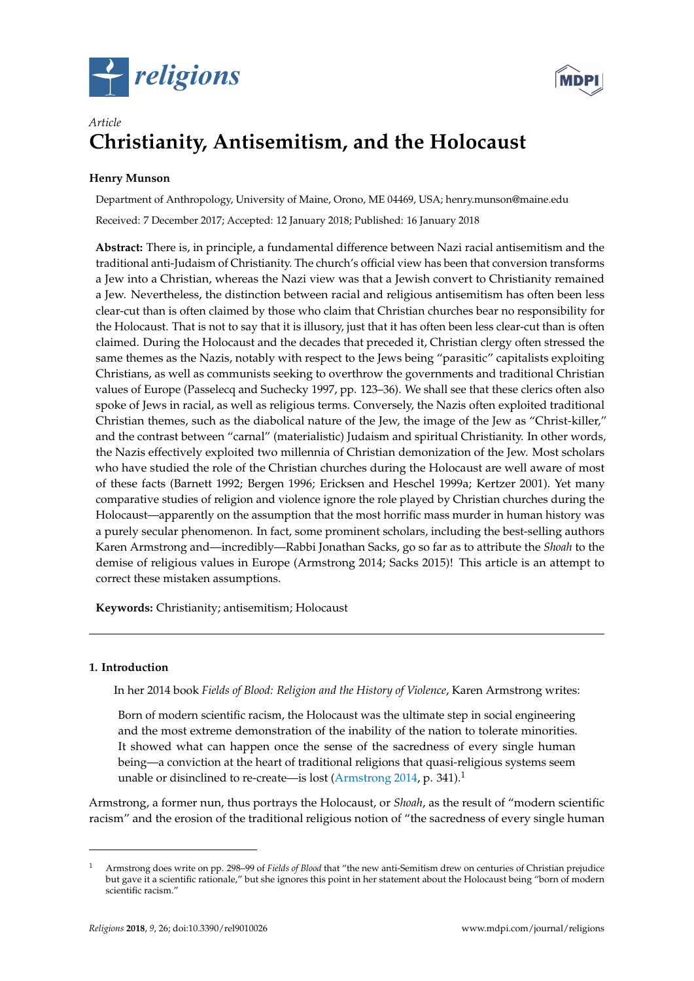



# *Article* **Christianity, Antisemitism, and the Holocaust**

## **Henry Munson**

Department of Anthropology, University of Maine, Orono, ME 04469, USA; henry.munson@maine.edu Received: 7 December 2017; Accepted: 12 January 2018; Published: 16 January 2018

**Abstract:** There is, in principle, a fundamental difference between Nazi racial antisemitism and the traditional anti-Judaism of Christianity. The church's official view has been that conversion transforms a Jew into a Christian, whereas the Nazi view was that a Jewish convert to Christianity remained a Jew. Nevertheless, the distinction between racial and religious antisemitism has often been less clear-cut than is often claimed by those who claim that Christian churches bear no responsibility for the Holocaust. That is not to say that it is illusory, just that it has often been less clear-cut than is often claimed. During the Holocaust and the decades that preceded it, Christian clergy often stressed the same themes as the Nazis, notably with respect to the Jews being "parasitic" capitalists exploiting Christians, as well as communists seeking to overthrow the governments and traditional Christian values of Europe (Passelecq and Suchecky 1997, pp. 123–36). We shall see that these clerics often also spoke of Jews in racial, as well as religious terms. Conversely, the Nazis often exploited traditional Christian themes, such as the diabolical nature of the Jew, the image of the Jew as "Christ-killer," and the contrast between "carnal" (materialistic) Judaism and spiritual Christianity. In other words, the Nazis effectively exploited two millennia of Christian demonization of the Jew. Most scholars who have studied the role of the Christian churches during the Holocaust are well aware of most of these facts (Barnett 1992; Bergen 1996; Ericksen and Heschel 1999a; Kertzer 2001). Yet many comparative studies of religion and violence ignore the role played by Christian churches during the Holocaust—apparently on the assumption that the most horrific mass murder in human history was a purely secular phenomenon. In fact, some prominent scholars, including the best-selling authors Karen Armstrong and—incredibly—Rabbi Jonathan Sacks, go so far as to attribute the *Shoah* to the demise of religious values in Europe (Armstrong 2014; Sacks 2015)! This article is an attempt to correct these mistaken assumptions.

**Keywords:** Christianity; antisemitism; Holocaust

## **1. Introduction**

In her 2014 book *Fields of Blood: Religion and the History of Violence*, Karen Armstrong writes:

Born of modern scientific racism, the Holocaust was the ultimate step in social engineering and the most extreme demonstration of the inability of the nation to tolerate minorities. It showed what can happen once the sense of the sacredness of every single human being—a conviction at the heart of traditional religions that quasi-religious systems seem unable or disinclined to re-create—is lost [\(Armstrong](#page-12-0) [2014,](#page-12-0) p. 341).<sup>1</sup>

Armstrong, a former nun, thus portrays the Holocaust, or *Shoah*, as the result of "modern scientific racism" and the erosion of the traditional religious notion of "the sacredness of every single human

<sup>1</sup> Armstrong does write on pp. 298–99 of *Fields of Blood* that "the new anti-Semitism drew on centuries of Christian prejudice but gave it a scientific rationale," but she ignores this point in her statement about the Holocaust being "born of modern scientific racism."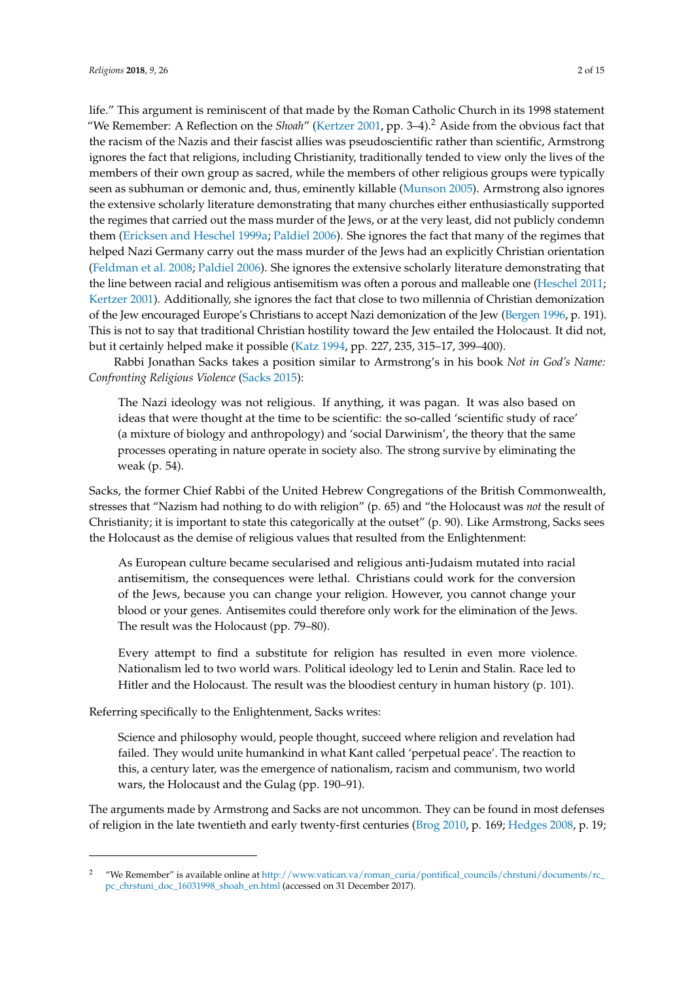life." This argument is reminiscent of that made by the Roman Catholic Church in its 1998 statement "We Remember: A Reflection on the *Shoah*" [\(Kertzer](#page-13-0) [2001,](#page-13-0) pp. 3–4).<sup>2</sup> Aside from the obvious fact that the racism of the Nazis and their fascist allies was pseudoscientific rather than scientific, Armstrong ignores the fact that religions, including Christianity, traditionally tended to view only the lives of the members of their own group as sacred, while the members of other religious groups were typically seen as subhuman or demonic and, thus, eminently killable [\(Munson](#page-13-1) [2005\)](#page-13-1). Armstrong also ignores the extensive scholarly literature demonstrating that many churches either enthusiastically supported the regimes that carried out the mass murder of the Jews, or at the very least, did not publicly condemn them [\(Ericksen and Heschel](#page-13-2) [1999a;](#page-13-2) [Paldiel](#page-13-3) [2006\)](#page-13-3). She ignores the fact that many of the regimes that helped Nazi Germany carry out the mass murder of the Jews had an explicitly Christian orientation [\(Feldman et al.](#page-13-4) [2008;](#page-13-4) [Paldiel](#page-13-3) [2006\)](#page-13-3). She ignores the extensive scholarly literature demonstrating that the line between racial and religious antisemitism was often a porous and malleable one [\(Heschel](#page-13-5) [2011;](#page-13-5) [Kertzer](#page-13-0) [2001\)](#page-13-0). Additionally, she ignores the fact that close to two millennia of Christian demonization of the Jew encouraged Europe's Christians to accept Nazi demonization of the Jew [\(Bergen](#page-12-1) [1996,](#page-12-1) p. 191). This is not to say that traditional Christian hostility toward the Jew entailed the Holocaust. It did not, but it certainly helped make it possible [\(Katz](#page-13-6) [1994,](#page-13-6) pp. 227, 235, 315–17, 399–400).

Rabbi Jonathan Sacks takes a position similar to Armstrong's in his book *Not in God's Name: Confronting Religious Violence* [\(Sacks](#page-13-7) [2015\)](#page-13-7):

The Nazi ideology was not religious. If anything, it was pagan. It was also based on ideas that were thought at the time to be scientific: the so-called 'scientific study of race' (a mixture of biology and anthropology) and 'social Darwinism', the theory that the same processes operating in nature operate in society also. The strong survive by eliminating the weak (p. 54).

Sacks, the former Chief Rabbi of the United Hebrew Congregations of the British Commonwealth, stresses that "Nazism had nothing to do with religion" (p. 65) and "the Holocaust was *not* the result of Christianity; it is important to state this categorically at the outset" (p. 90). Like Armstrong, Sacks sees the Holocaust as the demise of religious values that resulted from the Enlightenment:

As European culture became secularised and religious anti-Judaism mutated into racial antisemitism, the consequences were lethal. Christians could work for the conversion of the Jews, because you can change your religion. However, you cannot change your blood or your genes. Antisemites could therefore only work for the elimination of the Jews. The result was the Holocaust (pp. 79–80).

Every attempt to find a substitute for religion has resulted in even more violence. Nationalism led to two world wars. Political ideology led to Lenin and Stalin. Race led to Hitler and the Holocaust. The result was the bloodiest century in human history (p. 101).

Referring specifically to the Enlightenment, Sacks writes:

Science and philosophy would, people thought, succeed where religion and revelation had failed. They would unite humankind in what Kant called 'perpetual peace'. The reaction to this, a century later, was the emergence of nationalism, racism and communism, two world wars, the Holocaust and the Gulag (pp. 190–91).

The arguments made by Armstrong and Sacks are not uncommon. They can be found in most defenses of religion in the late twentieth and early twenty-first centuries [\(Brog](#page-13-8) [2010,](#page-13-8) p. 169; [Hedges](#page-13-9) [2008,](#page-13-9) p. 19;

<sup>2</sup> "We Remember" is available online at [http://www.vatican.va/roman\\_curia/pontifical\\_councils/chrstuni/documents/rc\\_](http://www.vatican.va/roman_curia/pontifical_councils/chrstuni/documents/rc_pc_chrstuni_doc_16031998_shoah_en.html) [pc\\_chrstuni\\_doc\\_16031998\\_shoah\\_en.html](http://www.vatican.va/roman_curia/pontifical_councils/chrstuni/documents/rc_pc_chrstuni_doc_16031998_shoah_en.html) (accessed on 31 December 2017).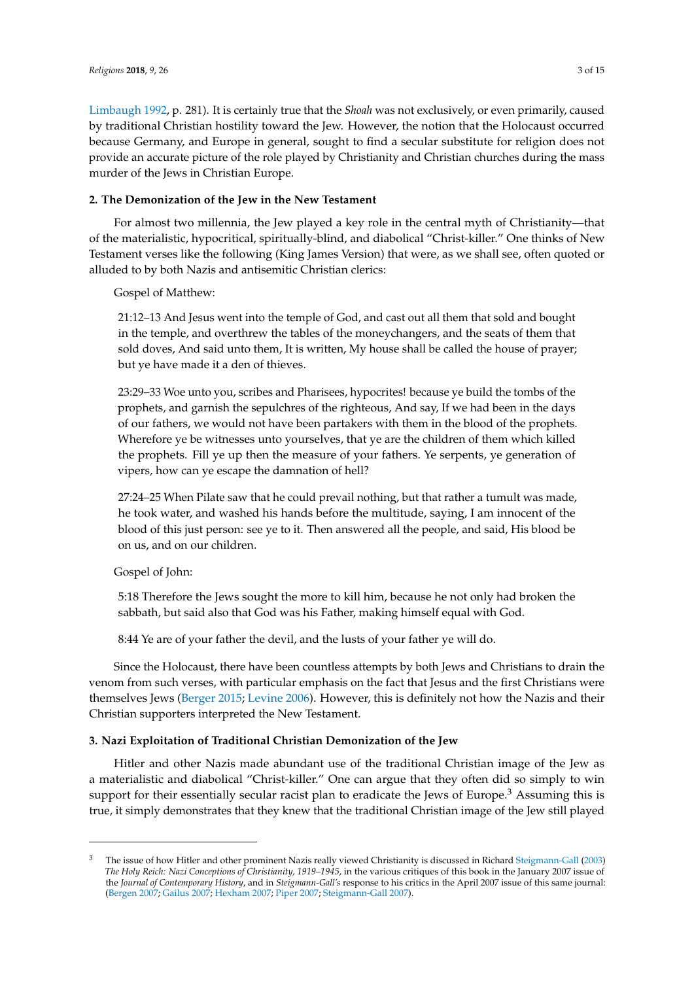[Limbaugh](#page-13-10) [1992,](#page-13-10) p. 281). It is certainly true that the *Shoah* was not exclusively, or even primarily, caused by traditional Christian hostility toward the Jew. However, the notion that the Holocaust occurred because Germany, and Europe in general, sought to find a secular substitute for religion does not provide an accurate picture of the role played by Christianity and Christian churches during the mass murder of the Jews in Christian Europe.

## **2. The Demonization of the Jew in the New Testament**

For almost two millennia, the Jew played a key role in the central myth of Christianity—that of the materialistic, hypocritical, spiritually-blind, and diabolical "Christ-killer." One thinks of New Testament verses like the following (King James Version) that were, as we shall see, often quoted or alluded to by both Nazis and antisemitic Christian clerics:

Gospel of Matthew:

21:12–13 And Jesus went into the temple of God, and cast out all them that sold and bought in the temple, and overthrew the tables of the moneychangers, and the seats of them that sold doves, And said unto them, It is written, My house shall be called the house of prayer; but ye have made it a den of thieves.

23:29–33 Woe unto you, scribes and Pharisees, hypocrites! because ye build the tombs of the prophets, and garnish the sepulchres of the righteous, And say, If we had been in the days of our fathers, we would not have been partakers with them in the blood of the prophets. Wherefore ye be witnesses unto yourselves, that ye are the children of them which killed the prophets. Fill ye up then the measure of your fathers. Ye serpents, ye generation of vipers, how can ye escape the damnation of hell?

27:24–25 When Pilate saw that he could prevail nothing, but that rather a tumult was made, he took water, and washed his hands before the multitude, saying, I am innocent of the blood of this just person: see ye to it. Then answered all the people, and said, His blood be on us, and on our children.

## Gospel of John:

5:18 Therefore the Jews sought the more to kill him, because he not only had broken the sabbath, but said also that God was his Father, making himself equal with God.

8:44 Ye are of your father the devil, and the lusts of your father ye will do.

Since the Holocaust, there have been countless attempts by both Jews and Christians to drain the venom from such verses, with particular emphasis on the fact that Jesus and the first Christians were themselves Jews [\(Berger](#page-12-2) [2015;](#page-12-2) [Levine](#page-13-11) [2006\)](#page-13-11). However, this is definitely not how the Nazis and their Christian supporters interpreted the New Testament.

### **3. Nazi Exploitation of Traditional Christian Demonization of the Jew**

Hitler and other Nazis made abundant use of the traditional Christian image of the Jew as a materialistic and diabolical "Christ-killer." One can argue that they often did so simply to win support for their essentially secular racist plan to eradicate the Jews of Europe.<sup>3</sup> Assuming this is true, it simply demonstrates that they knew that the traditional Christian image of the Jew still played

<sup>&</sup>lt;sup>3</sup> The issue of how Hitler and other prominent Nazis really viewed Christianity is discussed in Richard [Steigmann-Gall](#page-14-0) [\(2003\)](#page-14-0) *The Holy Reich: Nazi Conceptions of Christianity, 1919–1945*, in the various critiques of this book in the January 2007 issue of the *Journal of Contemporary History*, and in *Steigmann-Gall's* response to his critics in the April 2007 issue of this same journal: [\(Bergen](#page-12-3) [2007;](#page-12-3) [Gailus](#page-13-12) [2007;](#page-13-12) [Hexham](#page-13-13) [2007;](#page-13-13) [Piper](#page-13-14) [2007;](#page-13-14) [Steigmann-Gall](#page-14-1) [2007\)](#page-14-1).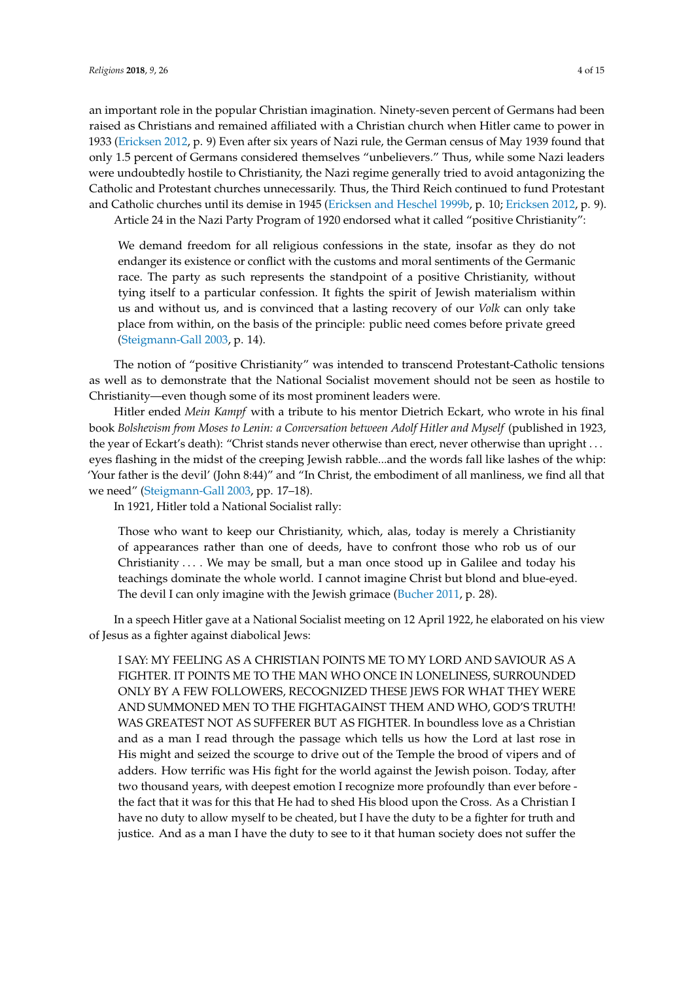an important role in the popular Christian imagination. Ninety-seven percent of Germans had been raised as Christians and remained affiliated with a Christian church when Hitler came to power in 1933 [\(Ericksen](#page-13-15) [2012,](#page-13-15) p. 9) Even after six years of Nazi rule, the German census of May 1939 found that only 1.5 percent of Germans considered themselves "unbelievers." Thus, while some Nazi leaders were undoubtedly hostile to Christianity, the Nazi regime generally tried to avoid antagonizing the Catholic and Protestant churches unnecessarily. Thus, the Third Reich continued to fund Protestant and Catholic churches until its demise in 1945 [\(Ericksen and Heschel](#page-13-16) [1999b,](#page-13-16) p. 10; [Ericksen](#page-13-15) [2012,](#page-13-15) p. 9).

Article 24 in the Nazi Party Program of 1920 endorsed what it called "positive Christianity":

We demand freedom for all religious confessions in the state, insofar as they do not endanger its existence or conflict with the customs and moral sentiments of the Germanic race. The party as such represents the standpoint of a positive Christianity, without tying itself to a particular confession. It fights the spirit of Jewish materialism within us and without us, and is convinced that a lasting recovery of our *Volk* can only take place from within, on the basis of the principle: public need comes before private greed [\(Steigmann-Gall](#page-14-0) [2003,](#page-14-0) p. 14).

The notion of "positive Christianity" was intended to transcend Protestant-Catholic tensions as well as to demonstrate that the National Socialist movement should not be seen as hostile to Christianity—even though some of its most prominent leaders were.

Hitler ended *Mein Kampf* with a tribute to his mentor Dietrich Eckart, who wrote in his final book *Bolshevism from Moses to Lenin: a Conversation between Adolf Hitler and Myself* (published in 1923, the year of Eckart's death): "Christ stands never otherwise than erect, never otherwise than upright . . . eyes flashing in the midst of the creeping Jewish rabble...and the words fall like lashes of the whip: 'Your father is the devil' (John 8:44)" and "In Christ, the embodiment of all manliness, we find all that we need" [\(Steigmann-Gall](#page-14-0) [2003,](#page-14-0) pp. 17–18).

In 1921, Hitler told a National Socialist rally:

Those who want to keep our Christianity, which, alas, today is merely a Christianity of appearances rather than one of deeds, have to confront those who rob us of our Christianity  $\dots$  We may be small, but a man once stood up in Galilee and today his teachings dominate the whole world. I cannot imagine Christ but blond and blue-eyed. The devil I can only imagine with the Jewish grimace [\(Bucher](#page-13-17) [2011,](#page-13-17) p. 28).

In a speech Hitler gave at a National Socialist meeting on 12 April 1922, he elaborated on his view of Jesus as a fighter against diabolical Jews:

I SAY: MY FEELING AS A CHRISTIAN POINTS ME TO MY LORD AND SAVIOUR AS A FIGHTER. IT POINTS ME TO THE MAN WHO ONCE IN LONELINESS, SURROUNDED ONLY BY A FEW FOLLOWERS, RECOGNIZED THESE JEWS FOR WHAT THEY WERE AND SUMMONED MEN TO THE FIGHTAGAINST THEM AND WHO, GOD'S TRUTH! WAS GREATEST NOT AS SUFFERER BUT AS FIGHTER. In boundless love as a Christian and as a man I read through the passage which tells us how the Lord at last rose in His might and seized the scourge to drive out of the Temple the brood of vipers and of adders. How terrific was His fight for the world against the Jewish poison. Today, after two thousand years, with deepest emotion I recognize more profoundly than ever before the fact that it was for this that He had to shed His blood upon the Cross. As a Christian I have no duty to allow myself to be cheated, but I have the duty to be a fighter for truth and justice. And as a man I have the duty to see to it that human society does not suffer the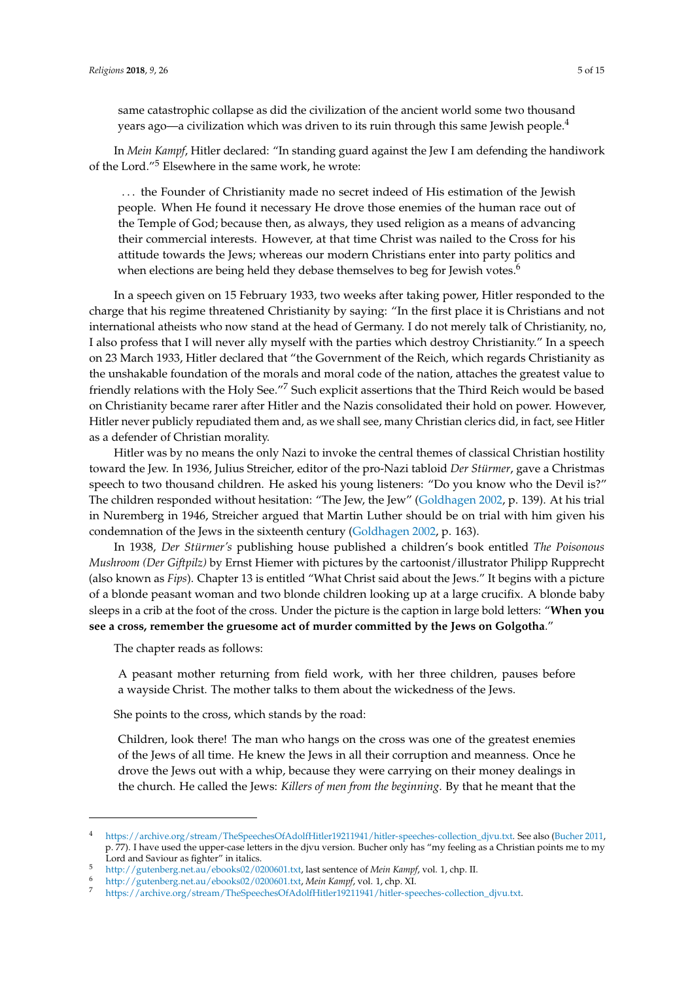same catastrophic collapse as did the civilization of the ancient world some two thousand years ago—a civilization which was driven to its ruin through this same Jewish people.<sup>4</sup>

In *Mein Kampf*, Hitler declared: "In standing guard against the Jew I am defending the handiwork of the Lord."<sup>5</sup> Elsewhere in the same work, he wrote:

. . . the Founder of Christianity made no secret indeed of His estimation of the Jewish people. When He found it necessary He drove those enemies of the human race out of the Temple of God; because then, as always, they used religion as a means of advancing their commercial interests. However, at that time Christ was nailed to the Cross for his attitude towards the Jews; whereas our modern Christians enter into party politics and when elections are being held they debase themselves to beg for Jewish votes.<sup>6</sup>

In a speech given on 15 February 1933, two weeks after taking power, Hitler responded to the charge that his regime threatened Christianity by saying: "In the first place it is Christians and not international atheists who now stand at the head of Germany. I do not merely talk of Christianity, no, I also profess that I will never ally myself with the parties which destroy Christianity." In a speech on 23 March 1933, Hitler declared that "the Government of the Reich, which regards Christianity as the unshakable foundation of the morals and moral code of the nation, attaches the greatest value to friendly relations with the Holy See."<sup>7</sup> Such explicit assertions that the Third Reich would be based on Christianity became rarer after Hitler and the Nazis consolidated their hold on power. However, Hitler never publicly repudiated them and, as we shall see, many Christian clerics did, in fact, see Hitler as a defender of Christian morality.

Hitler was by no means the only Nazi to invoke the central themes of classical Christian hostility toward the Jew. In 1936, Julius Streicher, editor of the pro-Nazi tabloid *Der Stürmer*, gave a Christmas speech to two thousand children. He asked his young listeners: "Do you know who the Devil is?" The children responded without hesitation: "The Jew, the Jew" [\(Goldhagen](#page-13-18) [2002,](#page-13-18) p. 139). At his trial in Nuremberg in 1946, Streicher argued that Martin Luther should be on trial with him given his condemnation of the Jews in the sixteenth century [\(Goldhagen](#page-13-18) [2002,](#page-13-18) p. 163).

In 1938, *Der Stürmer's* publishing house published a children's book entitled *The Poisonous Mushroom (Der Giftpilz)* by Ernst Hiemer with pictures by the cartoonist/illustrator Philipp Rupprecht (also known as *Fips*). Chapter 13 is entitled "What Christ said about the Jews." It begins with a picture of a blonde peasant woman and two blonde children looking up at a large crucifix. A blonde baby sleeps in a crib at the foot of the cross. Under the picture is the caption in large bold letters: "**When you see a cross, remember the gruesome act of murder committed by the Jews on Golgotha**."

The chapter reads as follows:

A peasant mother returning from field work, with her three children, pauses before a wayside Christ. The mother talks to them about the wickedness of the Jews.

She points to the cross, which stands by the road:

Children, look there! The man who hangs on the cross was one of the greatest enemies of the Jews of all time. He knew the Jews in all their corruption and meanness. Once he drove the Jews out with a whip, because they were carrying on their money dealings in the church. He called the Jews: *Killers of men from the beginning*. By that he meant that the

<sup>4</sup> [https://archive.org/stream/TheSpeechesOfAdolfHitler19211941/hitler-speeches-collection\\_djvu.txt.](https://archive.org/stream/TheSpeechesOfAdolfHitler19211941/hitler-speeches-collection_djvu.txt) See also [\(Bucher](#page-13-17) [2011,](#page-13-17) p. 77). I have used the upper-case letters in the djvu version. Bucher only has "my feeling as a Christian points me to my Lord and Saviour as fighter" in italics.

<sup>5</sup> [http://gutenberg.net.au/ebooks02/0200601.txt,](http://gutenberg.net.au/ebooks02/0200601.txt) last sentence of *Mein Kampf*, vol. 1, chp. II.

<sup>6</sup> [http://gutenberg.net.au/ebooks02/0200601.txt,](http://gutenberg.net.au/ebooks02/0200601.txt) *Mein Kampf*, vol. 1, chp. XI.

<sup>7</sup> [https://archive.org/stream/TheSpeechesOfAdolfHitler19211941/hitler-speeches-collection\\_djvu.txt.](https://archive.org/stream/TheSpeechesOfAdolfHitler19211941/hitler-speeches-collection_djvu.txt)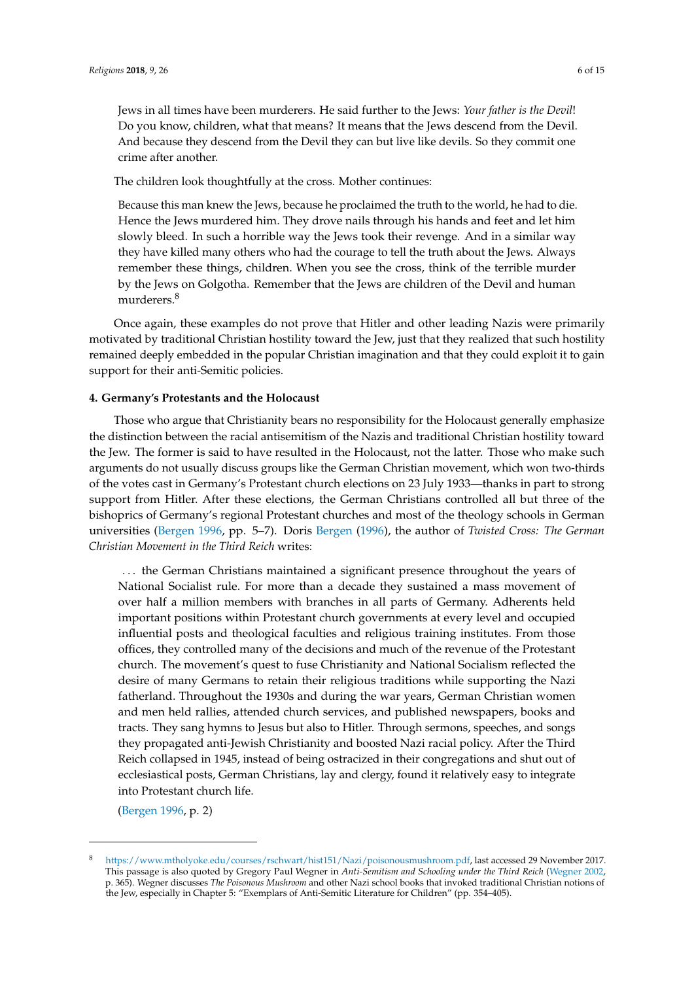The children look thoughtfully at the cross. Mother continues:

Because this man knew the Jews, because he proclaimed the truth to the world, he had to die. Hence the Jews murdered him. They drove nails through his hands and feet and let him slowly bleed. In such a horrible way the Jews took their revenge. And in a similar way they have killed many others who had the courage to tell the truth about the Jews. Always remember these things, children. When you see the cross, think of the terrible murder by the Jews on Golgotha. Remember that the Jews are children of the Devil and human murderers.<sup>8</sup>

Once again, these examples do not prove that Hitler and other leading Nazis were primarily motivated by traditional Christian hostility toward the Jew, just that they realized that such hostility remained deeply embedded in the popular Christian imagination and that they could exploit it to gain support for their anti-Semitic policies.

### **4. Germany's Protestants and the Holocaust**

Those who argue that Christianity bears no responsibility for the Holocaust generally emphasize the distinction between the racial antisemitism of the Nazis and traditional Christian hostility toward the Jew. The former is said to have resulted in the Holocaust, not the latter. Those who make such arguments do not usually discuss groups like the German Christian movement, which won two-thirds of the votes cast in Germany's Protestant church elections on 23 July 1933—thanks in part to strong support from Hitler. After these elections, the German Christians controlled all but three of the bishoprics of Germany's regional Protestant churches and most of the theology schools in German universities [\(Bergen](#page-12-1) [1996,](#page-12-1) pp. 5–7). Doris [Bergen](#page-12-1) [\(1996\)](#page-12-1), the author of *Twisted Cross: The German Christian Movement in the Third Reich* writes:

. . . the German Christians maintained a significant presence throughout the years of National Socialist rule. For more than a decade they sustained a mass movement of over half a million members with branches in all parts of Germany. Adherents held important positions within Protestant church governments at every level and occupied influential posts and theological faculties and religious training institutes. From those offices, they controlled many of the decisions and much of the revenue of the Protestant church. The movement's quest to fuse Christianity and National Socialism reflected the desire of many Germans to retain their religious traditions while supporting the Nazi fatherland. Throughout the 1930s and during the war years, German Christian women and men held rallies, attended church services, and published newspapers, books and tracts. They sang hymns to Jesus but also to Hitler. Through sermons, speeches, and songs they propagated anti-Jewish Christianity and boosted Nazi racial policy. After the Third Reich collapsed in 1945, instead of being ostracized in their congregations and shut out of ecclesiastical posts, German Christians, lay and clergy, found it relatively easy to integrate into Protestant church life.

[\(Bergen](#page-12-1) [1996,](#page-12-1) p. 2)

<sup>8</sup> [https://www.mtholyoke.edu/courses/rschwart/hist151/Nazi/poisonousmushroom.pdf,](https://www.mtholyoke.edu/courses/rschwart/hist151/Nazi/poisonousmushroom.pdf) last accessed 29 November 2017. This passage is also quoted by Gregory Paul Wegner in *Anti-Semitism and Schooling under the Third Reich* [\(Wegner](#page-14-2) [2002,](#page-14-2) p. 365). Wegner discusses *The Poisonous Mushroom* and other Nazi school books that invoked traditional Christian notions of the Jew, especially in Chapter 5: "Exemplars of Anti-Semitic Literature for Children" (pp. 354–405).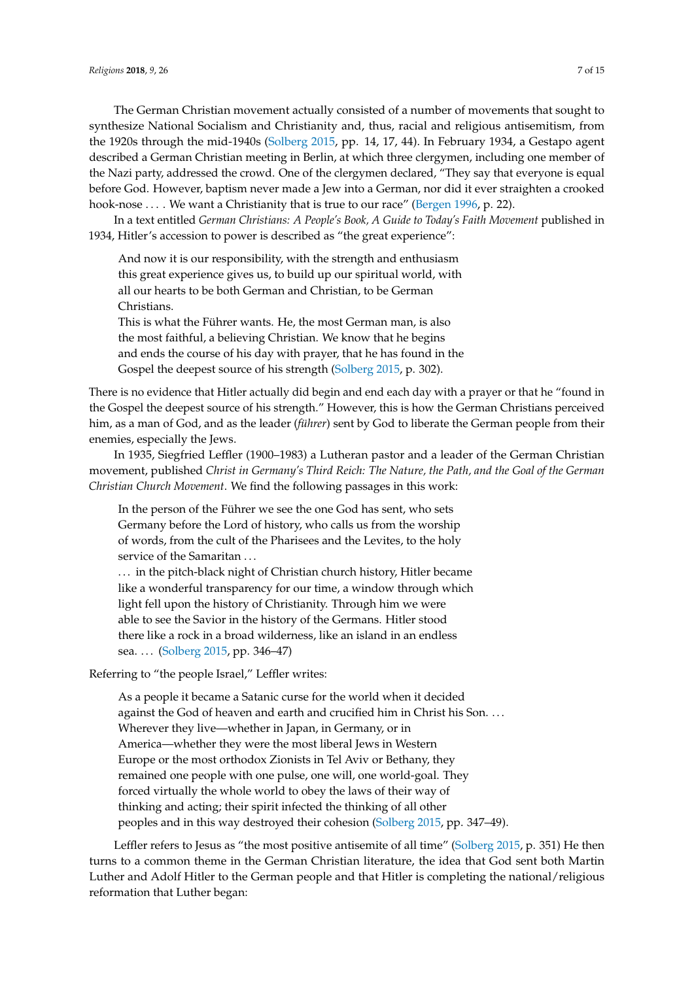The German Christian movement actually consisted of a number of movements that sought to synthesize National Socialism and Christianity and, thus, racial and religious antisemitism, from the 1920s through the mid-1940s [\(Solberg](#page-13-19) [2015,](#page-13-19) pp. 14, 17, 44). In February 1934, a Gestapo agent described a German Christian meeting in Berlin, at which three clergymen, including one member of the Nazi party, addressed the crowd. One of the clergymen declared, "They say that everyone is equal before God. However, baptism never made a Jew into a German, nor did it ever straighten a crooked hook-nose ... . We want a Christianity that is true to our race" [\(Bergen](#page-12-1) [1996,](#page-12-1) p. 22).

In a text entitled *German Christians: A People's Book, A Guide to Today's Faith Movement* published in 1934, Hitler's accession to power is described as "the great experience":

And now it is our responsibility, with the strength and enthusiasm this great experience gives us, to build up our spiritual world, with all our hearts to be both German and Christian, to be German Christians.

This is what the Führer wants. He, the most German man, is also the most faithful, a believing Christian. We know that he begins and ends the course of his day with prayer, that he has found in the Gospel the deepest source of his strength [\(Solberg](#page-13-19) [2015,](#page-13-19) p. 302).

There is no evidence that Hitler actually did begin and end each day with a prayer or that he "found in the Gospel the deepest source of his strength." However, this is how the German Christians perceived him, as a man of God, and as the leader (*führer*) sent by God to liberate the German people from their enemies, especially the Jews.

In 1935, Siegfried Leffler (1900–1983) a Lutheran pastor and a leader of the German Christian movement, published *Christ in Germany's Third Reich: The Nature, the Path, and the Goal of the German Christian Church Movement*. We find the following passages in this work:

In the person of the Führer we see the one God has sent, who sets Germany before the Lord of history, who calls us from the worship of words, from the cult of the Pharisees and the Levites, to the holy service of the Samaritan ...

... in the pitch-black night of Christian church history, Hitler became like a wonderful transparency for our time, a window through which light fell upon the history of Christianity. Through him we were able to see the Savior in the history of the Germans. Hitler stood there like a rock in a broad wilderness, like an island in an endless sea. . . . [\(Solberg](#page-13-19) [2015,](#page-13-19) pp. 346–47)

Referring to "the people Israel," Leffler writes:

As a people it became a Satanic curse for the world when it decided against the God of heaven and earth and crucified him in Christ his Son. . . . Wherever they live—whether in Japan, in Germany, or in America—whether they were the most liberal Jews in Western Europe or the most orthodox Zionists in Tel Aviv or Bethany, they remained one people with one pulse, one will, one world-goal. They forced virtually the whole world to obey the laws of their way of thinking and acting; their spirit infected the thinking of all other peoples and in this way destroyed their cohesion [\(Solberg](#page-13-19) [2015,](#page-13-19) pp. 347–49).

Leffler refers to Jesus as "the most positive antisemite of all time" [\(Solberg](#page-13-19) [2015,](#page-13-19) p. 351) He then turns to a common theme in the German Christian literature, the idea that God sent both Martin Luther and Adolf Hitler to the German people and that Hitler is completing the national/religious reformation that Luther began: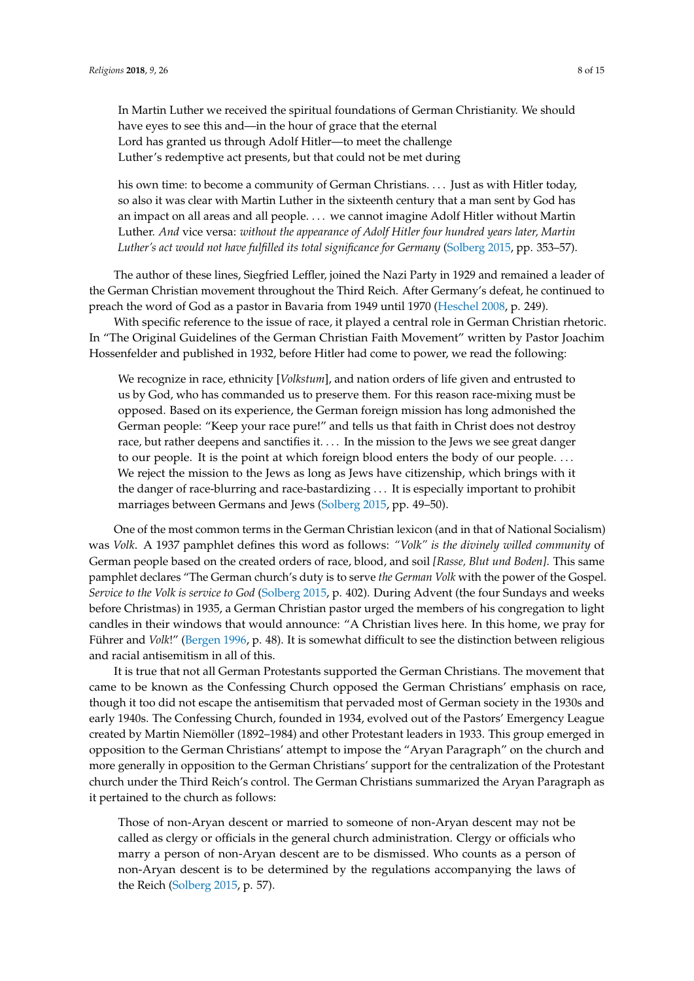In Martin Luther we received the spiritual foundations of German Christianity. We should have eyes to see this and—in the hour of grace that the eternal Lord has granted us through Adolf Hitler—to meet the challenge Luther's redemptive act presents, but that could not be met during

his own time: to become a community of German Christians. . . . Just as with Hitler today, so also it was clear with Martin Luther in the sixteenth century that a man sent by God has an impact on all areas and all people. . . . we cannot imagine Adolf Hitler without Martin Luther. *And* vice versa: *without the appearance of Adolf Hitler four hundred years later, Martin Luther's act would not have fulfilled its total significance for Germany* [\(Solberg](#page-13-19) [2015,](#page-13-19) pp. 353–57).

The author of these lines, Siegfried Leffler, joined the Nazi Party in 1929 and remained a leader of the German Christian movement throughout the Third Reich. After Germany's defeat, he continued to preach the word of God as a pastor in Bavaria from 1949 until 1970 [\(Heschel](#page-13-20) [2008,](#page-13-20) p. 249).

With specific reference to the issue of race, it played a central role in German Christian rhetoric. In "The Original Guidelines of the German Christian Faith Movement" written by Pastor Joachim Hossenfelder and published in 1932, before Hitler had come to power, we read the following:

We recognize in race, ethnicity [*Volkstum*], and nation orders of life given and entrusted to us by God, who has commanded us to preserve them. For this reason race-mixing must be opposed. Based on its experience, the German foreign mission has long admonished the German people: "Keep your race pure!" and tells us that faith in Christ does not destroy race, but rather deepens and sanctifies it. . . . In the mission to the Jews we see great danger to our people. It is the point at which foreign blood enters the body of our people. . . . We reject the mission to the Jews as long as Jews have citizenship, which brings with it the danger of race-blurring and race-bastardizing . . . It is especially important to prohibit marriages between Germans and Jews [\(Solberg](#page-13-19) [2015,](#page-13-19) pp. 49–50).

One of the most common terms in the German Christian lexicon (and in that of National Socialism) was *Volk*. A 1937 pamphlet defines this word as follows: *"Volk" is the divinely willed community* of German people based on the created orders of race, blood, and soil *[Rasse, Blut und Boden]*. This same pamphlet declares "The German church's duty is to serve *the German Volk* with the power of the Gospel. *Service to the Volk is service to God* [\(Solberg](#page-13-19) [2015,](#page-13-19) p. 402). During Advent (the four Sundays and weeks before Christmas) in 1935, a German Christian pastor urged the members of his congregation to light candles in their windows that would announce: "A Christian lives here. In this home, we pray for Führer and *Volk*!" [\(Bergen](#page-12-1) [1996,](#page-12-1) p. 48). It is somewhat difficult to see the distinction between religious and racial antisemitism in all of this.

It is true that not all German Protestants supported the German Christians. The movement that came to be known as the Confessing Church opposed the German Christians' emphasis on race, though it too did not escape the antisemitism that pervaded most of German society in the 1930s and early 1940s. The Confessing Church, founded in 1934, evolved out of the Pastors' Emergency League created by Martin Niemöller (1892–1984) and other Protestant leaders in 1933. This group emerged in opposition to the German Christians' attempt to impose the "Aryan Paragraph" on the church and more generally in opposition to the German Christians' support for the centralization of the Protestant church under the Third Reich's control. The German Christians summarized the Aryan Paragraph as it pertained to the church as follows:

Those of non-Aryan descent or married to someone of non-Aryan descent may not be called as clergy or officials in the general church administration. Clergy or officials who marry a person of non-Aryan descent are to be dismissed. Who counts as a person of non-Aryan descent is to be determined by the regulations accompanying the laws of the Reich [\(Solberg](#page-13-19) [2015,](#page-13-19) p. 57).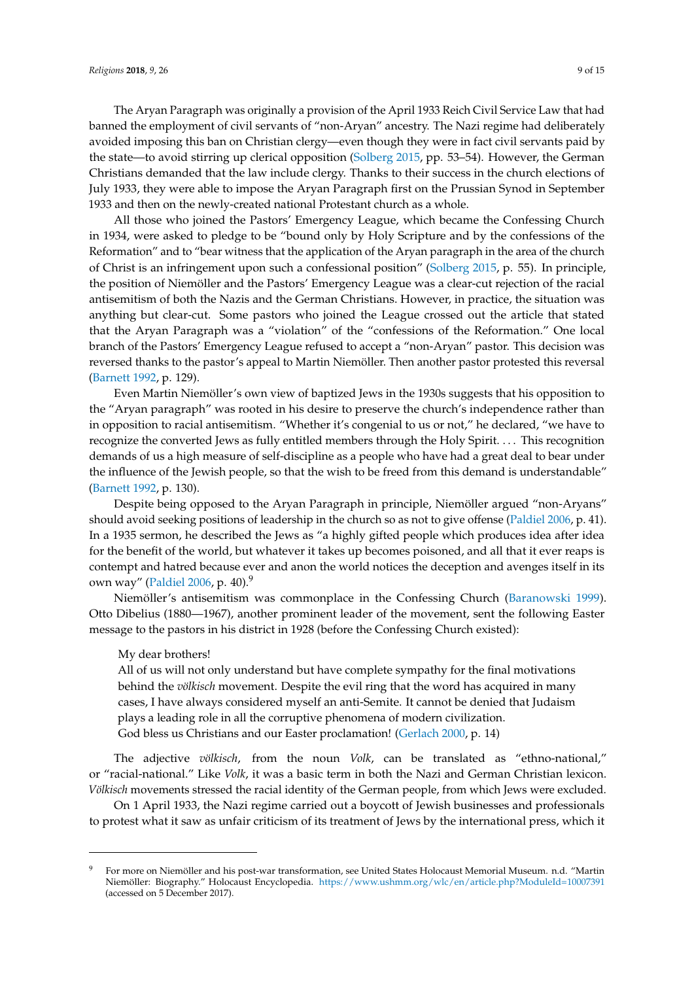The Aryan Paragraph was originally a provision of the April 1933 Reich Civil Service Law that had banned the employment of civil servants of "non-Aryan" ancestry. The Nazi regime had deliberately avoided imposing this ban on Christian clergy—even though they were in fact civil servants paid by the state—to avoid stirring up clerical opposition [\(Solberg](#page-13-19) [2015,](#page-13-19) pp. 53–54). However, the German Christians demanded that the law include clergy. Thanks to their success in the church elections of July 1933, they were able to impose the Aryan Paragraph first on the Prussian Synod in September 1933 and then on the newly-created national Protestant church as a whole.

All those who joined the Pastors' Emergency League, which became the Confessing Church in 1934, were asked to pledge to be "bound only by Holy Scripture and by the confessions of the Reformation" and to "bear witness that the application of the Aryan paragraph in the area of the church of Christ is an infringement upon such a confessional position" [\(Solberg](#page-13-19) [2015,](#page-13-19) p. 55). In principle, the position of Niemöller and the Pastors' Emergency League was a clear-cut rejection of the racial antisemitism of both the Nazis and the German Christians. However, in practice, the situation was anything but clear-cut. Some pastors who joined the League crossed out the article that stated that the Aryan Paragraph was a "violation" of the "confessions of the Reformation." One local branch of the Pastors' Emergency League refused to accept a "non-Aryan" pastor. This decision was reversed thanks to the pastor's appeal to Martin Niemöller. Then another pastor protested this reversal [\(Barnett](#page-12-4) [1992,](#page-12-4) p. 129).

Even Martin Niemöller's own view of baptized Jews in the 1930s suggests that his opposition to the "Aryan paragraph" was rooted in his desire to preserve the church's independence rather than in opposition to racial antisemitism. "Whether it's congenial to us or not," he declared, "we have to recognize the converted Jews as fully entitled members through the Holy Spirit. . . . This recognition demands of us a high measure of self-discipline as a people who have had a great deal to bear under the influence of the Jewish people, so that the wish to be freed from this demand is understandable" [\(Barnett](#page-12-4) [1992,](#page-12-4) p. 130).

Despite being opposed to the Aryan Paragraph in principle, Niemöller argued "non-Aryans" should avoid seeking positions of leadership in the church so as not to give offense [\(Paldiel](#page-13-3) [2006,](#page-13-3) p. 41). In a 1935 sermon, he described the Jews as "a highly gifted people which produces idea after idea for the benefit of the world, but whatever it takes up becomes poisoned, and all that it ever reaps is contempt and hatred because ever and anon the world notices the deception and avenges itself in its own way" [\(Paldiel](#page-13-3) [2006,](#page-13-3) p. 40).<sup>9</sup>

Niemöller's antisemitism was commonplace in the Confessing Church [\(Baranowski](#page-12-5) [1999\)](#page-12-5). Otto Dibelius (1880—1967), another prominent leader of the movement, sent the following Easter message to the pastors in his district in 1928 (before the Confessing Church existed):

### My dear brothers!

All of us will not only understand but have complete sympathy for the final motivations behind the *völkisch* movement. Despite the evil ring that the word has acquired in many cases, I have always considered myself an anti-Semite. It cannot be denied that Judaism plays a leading role in all the corruptive phenomena of modern civilization. God bless us Christians and our Easter proclamation! [\(Gerlach](#page-13-21) [2000,](#page-13-21) p. 14)

The adjective *völkisch*, from the noun *Volk*, can be translated as "ethno-national," or "racial-national." Like *Volk*, it was a basic term in both the Nazi and German Christian lexicon. *Völkisch* movements stressed the racial identity of the German people, from which Jews were excluded.

On 1 April 1933, the Nazi regime carried out a boycott of Jewish businesses and professionals to protest what it saw as unfair criticism of its treatment of Jews by the international press, which it

<sup>9</sup> For more on Niemöller and his post-war transformation, see United States Holocaust Memorial Museum. n.d. "Martin Niemöller: Biography." Holocaust Encyclopedia. <https://www.ushmm.org/wlc/en/article.php?ModuleId=10007391> (accessed on 5 December 2017).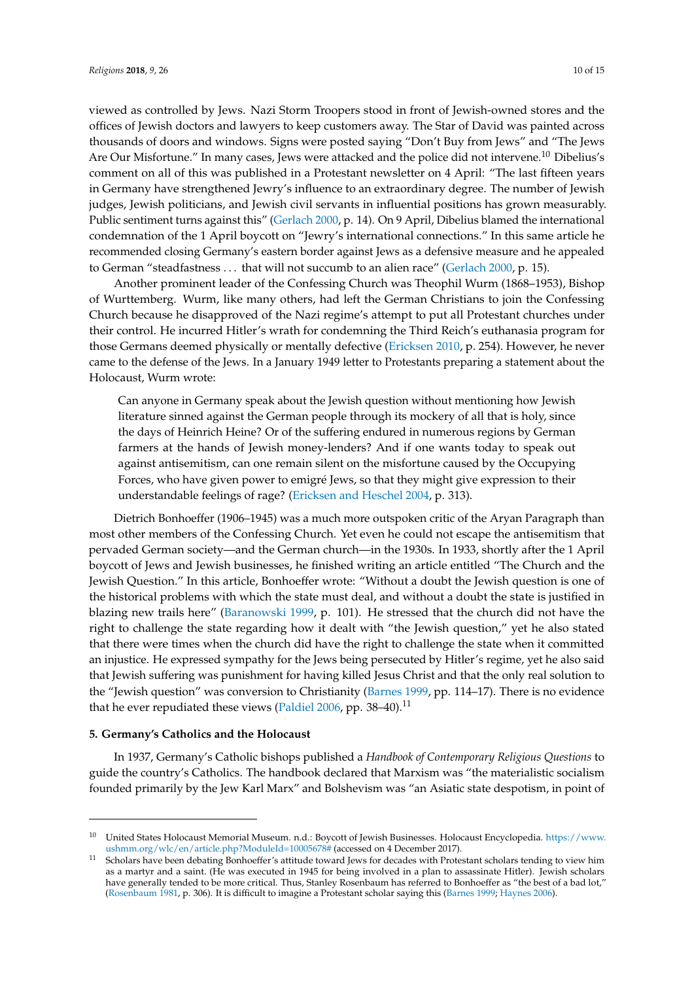viewed as controlled by Jews. Nazi Storm Troopers stood in front of Jewish-owned stores and the offices of Jewish doctors and lawyers to keep customers away. The Star of David was painted across thousands of doors and windows. Signs were posted saying "Don't Buy from Jews" and "The Jews Are Our Misfortune." In many cases, Jews were attacked and the police did not intervene.<sup>10</sup> Dibelius's comment on all of this was published in a Protestant newsletter on 4 April: "The last fifteen years in Germany have strengthened Jewry's influence to an extraordinary degree. The number of Jewish judges, Jewish politicians, and Jewish civil servants in influential positions has grown measurably. Public sentiment turns against this" [\(Gerlach](#page-13-21) [2000,](#page-13-21) p. 14). On 9 April, Dibelius blamed the international condemnation of the 1 April boycott on "Jewry's international connections." In this same article he recommended closing Germany's eastern border against Jews as a defensive measure and he appealed to German "steadfastness . . . that will not succumb to an alien race" [\(Gerlach](#page-13-21) [2000,](#page-13-21) p. 15).

Another prominent leader of the Confessing Church was Theophil Wurm (1868–1953), Bishop of Wurttemberg. Wurm, like many others, had left the German Christians to join the Confessing Church because he disapproved of the Nazi regime's attempt to put all Protestant churches under their control. He incurred Hitler's wrath for condemning the Third Reich's euthanasia program for those Germans deemed physically or mentally defective [\(Ericksen](#page-13-22) [2010,](#page-13-22) p. 254). However, he never came to the defense of the Jews. In a January 1949 letter to Protestants preparing a statement about the Holocaust, Wurm wrote:

Can anyone in Germany speak about the Jewish question without mentioning how Jewish literature sinned against the German people through its mockery of all that is holy, since the days of Heinrich Heine? Or of the suffering endured in numerous regions by German farmers at the hands of Jewish money-lenders? And if one wants today to speak out against antisemitism, can one remain silent on the misfortune caused by the Occupying Forces, who have given power to emigré Jews, so that they might give expression to their understandable feelings of rage? [\(Ericksen and Heschel](#page-13-23) [2004,](#page-13-23) p. 313).

Dietrich Bonhoeffer (1906–1945) was a much more outspoken critic of the Aryan Paragraph than most other members of the Confessing Church. Yet even he could not escape the antisemitism that pervaded German society—and the German church—in the 1930s. In 1933, shortly after the 1 April boycott of Jews and Jewish businesses, he finished writing an article entitled "The Church and the Jewish Question." In this article, Bonhoeffer wrote: "Without a doubt the Jewish question is one of the historical problems with which the state must deal, and without a doubt the state is justified in blazing new trails here" [\(Baranowski](#page-12-5) [1999,](#page-12-5) p. 101). He stressed that the church did not have the right to challenge the state regarding how it dealt with "the Jewish question," yet he also stated that there were times when the church did have the right to challenge the state when it committed an injustice. He expressed sympathy for the Jews being persecuted by Hitler's regime, yet he also said that Jewish suffering was punishment for having killed Jesus Christ and that the only real solution to the "Jewish question" was conversion to Christianity [\(Barnes](#page-12-6) [1999,](#page-12-6) pp. 114–17). There is no evidence that he ever repudiated these views [\(Paldiel](#page-13-3) [2006,](#page-13-3) pp. 38–40).<sup>11</sup>

## **5. Germany's Catholics and the Holocaust**

In 1937, Germany's Catholic bishops published a *Handbook of Contemporary Religious Questions* to guide the country's Catholics. The handbook declared that Marxism was "the materialistic socialism founded primarily by the Jew Karl Marx" and Bolshevism was "an Asiatic state despotism, in point of

<sup>10</sup> United States Holocaust Memorial Museum. n.d.: Boycott of Jewish Businesses. Holocaust Encyclopedia. [https://www.](https://www.ushmm.org/wlc/en/article.php?ModuleId=10005678#) [ushmm.org/wlc/en/article.php?ModuleId=10005678#](https://www.ushmm.org/wlc/en/article.php?ModuleId=10005678#) (accessed on 4 December 2017).

<sup>11</sup> Scholars have been debating Bonhoeffer's attitude toward Jews for decades with Protestant scholars tending to view him as a martyr and a saint. (He was executed in 1945 for being involved in a plan to assassinate Hitler). Jewish scholars have generally tended to be more critical. Thus, Stanley Rosenbaum has referred to Bonhoeffer as "the best of a bad lot," [\(Rosenbaum](#page-13-24) [1981,](#page-13-24) p. 306). It is difficult to imagine a Protestant scholar saying this [\(Barnes](#page-12-6) [1999;](#page-12-6) [Haynes](#page-13-25) [2006\)](#page-13-25).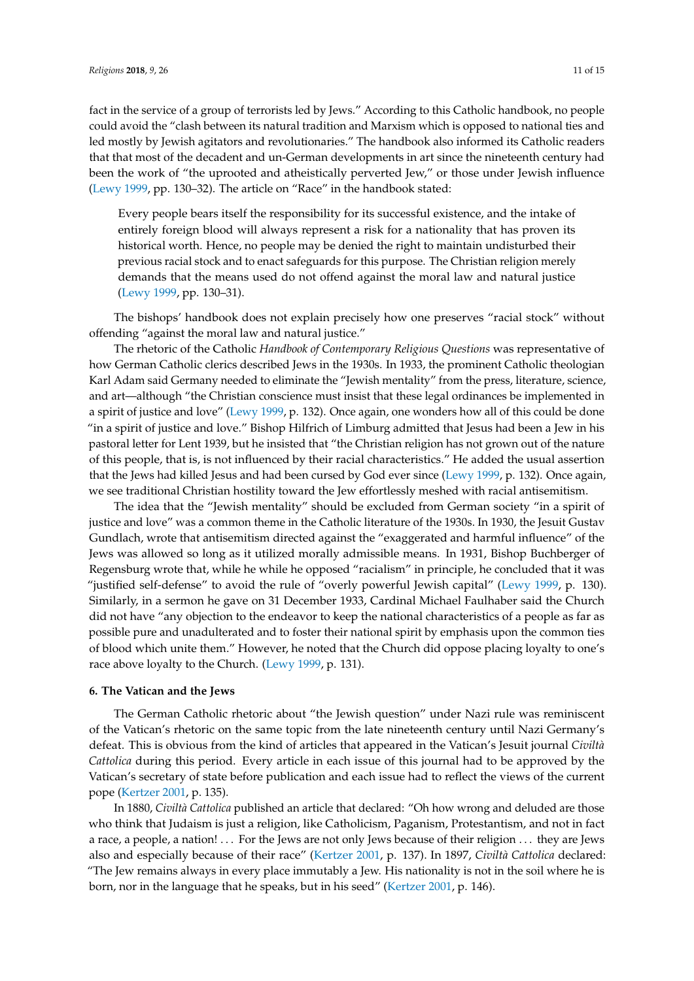fact in the service of a group of terrorists led by Jews." According to this Catholic handbook, no people could avoid the "clash between its natural tradition and Marxism which is opposed to national ties and led mostly by Jewish agitators and revolutionaries." The handbook also informed its Catholic readers that that most of the decadent and un-German developments in art since the nineteenth century had been the work of "the uprooted and atheistically perverted Jew," or those under Jewish influence [\(Lewy](#page-13-26) [1999,](#page-13-26) pp. 130–32). The article on "Race" in the handbook stated:

Every people bears itself the responsibility for its successful existence, and the intake of entirely foreign blood will always represent a risk for a nationality that has proven its historical worth. Hence, no people may be denied the right to maintain undisturbed their previous racial stock and to enact safeguards for this purpose. The Christian religion merely demands that the means used do not offend against the moral law and natural justice [\(Lewy](#page-13-26) [1999,](#page-13-26) pp. 130–31).

The bishops' handbook does not explain precisely how one preserves "racial stock" without offending "against the moral law and natural justice."

The rhetoric of the Catholic *Handbook of Contemporary Religious Questions* was representative of how German Catholic clerics described Jews in the 1930s. In 1933, the prominent Catholic theologian Karl Adam said Germany needed to eliminate the "Jewish mentality" from the press, literature, science, and art—although "the Christian conscience must insist that these legal ordinances be implemented in a spirit of justice and love" [\(Lewy](#page-13-26) [1999,](#page-13-26) p. 132). Once again, one wonders how all of this could be done "in a spirit of justice and love." Bishop Hilfrich of Limburg admitted that Jesus had been a Jew in his pastoral letter for Lent 1939, but he insisted that "the Christian religion has not grown out of the nature of this people, that is, is not influenced by their racial characteristics." He added the usual assertion that the Jews had killed Jesus and had been cursed by God ever since [\(Lewy](#page-13-26) [1999,](#page-13-26) p. 132). Once again, we see traditional Christian hostility toward the Jew effortlessly meshed with racial antisemitism.

The idea that the "Jewish mentality" should be excluded from German society "in a spirit of justice and love" was a common theme in the Catholic literature of the 1930s. In 1930, the Jesuit Gustav Gundlach, wrote that antisemitism directed against the "exaggerated and harmful influence" of the Jews was allowed so long as it utilized morally admissible means. In 1931, Bishop Buchberger of Regensburg wrote that, while he while he opposed "racialism" in principle, he concluded that it was "justified self-defense" to avoid the rule of "overly powerful Jewish capital" [\(Lewy](#page-13-26) [1999,](#page-13-26) p. 130). Similarly, in a sermon he gave on 31 December 1933, Cardinal Michael Faulhaber said the Church did not have "any objection to the endeavor to keep the national characteristics of a people as far as possible pure and unadulterated and to foster their national spirit by emphasis upon the common ties of blood which unite them." However, he noted that the Church did oppose placing loyalty to one's race above loyalty to the Church. [\(Lewy](#page-13-26) [1999,](#page-13-26) p. 131).

#### **6. The Vatican and the Jews**

The German Catholic rhetoric about "the Jewish question" under Nazi rule was reminiscent of the Vatican's rhetoric on the same topic from the late nineteenth century until Nazi Germany's defeat. This is obvious from the kind of articles that appeared in the Vatican's Jesuit journal *Civiltà Cattolica* during this period. Every article in each issue of this journal had to be approved by the Vatican's secretary of state before publication and each issue had to reflect the views of the current pope [\(Kertzer](#page-13-0) [2001,](#page-13-0) p. 135).

In 1880, *Civiltà Cattolica* published an article that declared: "Oh how wrong and deluded are those who think that Judaism is just a religion, like Catholicism, Paganism, Protestantism, and not in fact a race, a people, a nation! . . . For the Jews are not only Jews because of their religion . . . they are Jews also and especially because of their race" [\(Kertzer](#page-13-0) [2001,](#page-13-0) p. 137). In 1897, *Civiltà Cattolica* declared: "The Jew remains always in every place immutably a Jew. His nationality is not in the soil where he is born, nor in the language that he speaks, but in his seed" [\(Kertzer](#page-13-0) [2001,](#page-13-0) p. 146).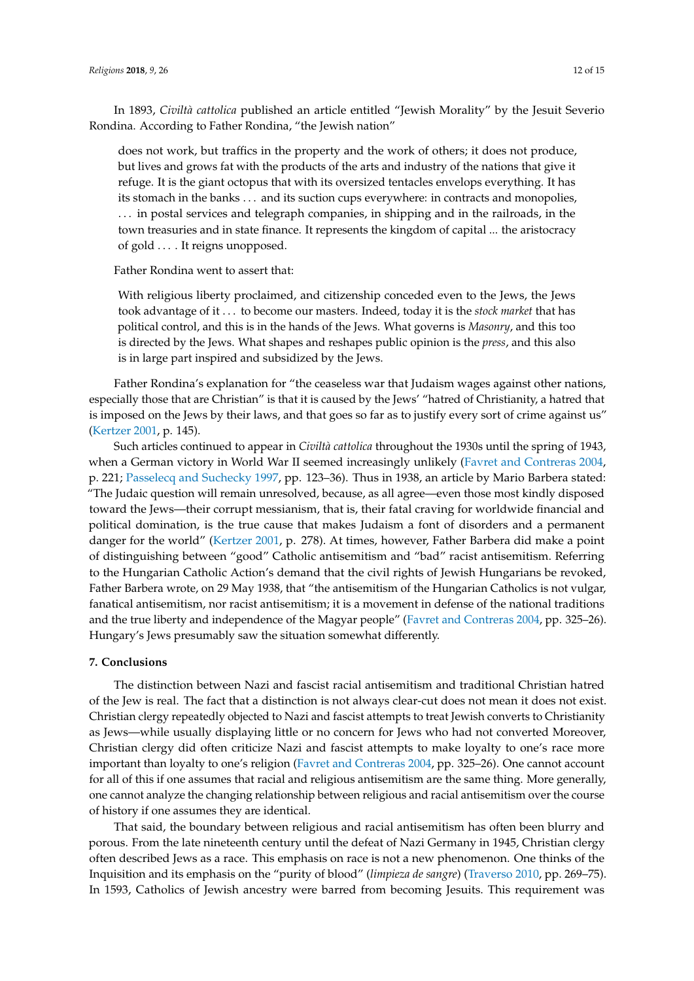In 1893, *Civiltà cattolica* published an article entitled "Jewish Morality" by the Jesuit Severio Rondina. According to Father Rondina, "the Jewish nation"

does not work, but traffics in the property and the work of others; it does not produce, but lives and grows fat with the products of the arts and industry of the nations that give it refuge. It is the giant octopus that with its oversized tentacles envelops everything. It has its stomach in the banks . . . and its suction cups everywhere: in contracts and monopolies, . . . in postal services and telegraph companies, in shipping and in the railroads, in the town treasuries and in state finance. It represents the kingdom of capital ... the aristocracy of gold . . . . It reigns unopposed.

Father Rondina went to assert that:

With religious liberty proclaimed, and citizenship conceded even to the Jews, the Jews took advantage of it . . . to become our masters. Indeed, today it is the *stock market* that has political control, and this is in the hands of the Jews. What governs is *Masonry*, and this too is directed by the Jews. What shapes and reshapes public opinion is the *press*, and this also is in large part inspired and subsidized by the Jews.

Father Rondina's explanation for "the ceaseless war that Judaism wages against other nations, especially those that are Christian" is that it is caused by the Jews' "hatred of Christianity, a hatred that is imposed on the Jews by their laws, and that goes so far as to justify every sort of crime against us" [\(Kertzer](#page-13-0) [2001,](#page-13-0) p. 145).

Such articles continued to appear in *Civiltà cattolica* throughout the 1930s until the spring of 1943, when a German victory in World War II seemed increasingly unlikely [\(Favret and Contreras](#page-13-27) [2004,](#page-13-27) p. 221; [Passelecq and Suchecky](#page-13-28) [1997,](#page-13-28) pp. 123–36). Thus in 1938, an article by Mario Barbera stated: "The Judaic question will remain unresolved, because, as all agree—even those most kindly disposed toward the Jews—their corrupt messianism, that is, their fatal craving for worldwide financial and political domination, is the true cause that makes Judaism a font of disorders and a permanent danger for the world" [\(Kertzer](#page-13-0) [2001,](#page-13-0) p. 278). At times, however, Father Barbera did make a point of distinguishing between "good" Catholic antisemitism and "bad" racist antisemitism. Referring to the Hungarian Catholic Action's demand that the civil rights of Jewish Hungarians be revoked, Father Barbera wrote, on 29 May 1938, that "the antisemitism of the Hungarian Catholics is not vulgar, fanatical antisemitism, nor racist antisemitism; it is a movement in defense of the national traditions and the true liberty and independence of the Magyar people" [\(Favret and Contreras](#page-13-27) [2004,](#page-13-27) pp. 325–26). Hungary's Jews presumably saw the situation somewhat differently.

#### **7. Conclusions**

The distinction between Nazi and fascist racial antisemitism and traditional Christian hatred of the Jew is real. The fact that a distinction is not always clear-cut does not mean it does not exist. Christian clergy repeatedly objected to Nazi and fascist attempts to treat Jewish converts to Christianity as Jews—while usually displaying little or no concern for Jews who had not converted Moreover, Christian clergy did often criticize Nazi and fascist attempts to make loyalty to one's race more important than loyalty to one's religion [\(Favret and Contreras](#page-13-27) [2004,](#page-13-27) pp. 325–26). One cannot account for all of this if one assumes that racial and religious antisemitism are the same thing. More generally, one cannot analyze the changing relationship between religious and racial antisemitism over the course of history if one assumes they are identical.

That said, the boundary between religious and racial antisemitism has often been blurry and porous. From the late nineteenth century until the defeat of Nazi Germany in 1945, Christian clergy often described Jews as a race. This emphasis on race is not a new phenomenon. One thinks of the Inquisition and its emphasis on the "purity of blood" (*limpieza de sangre*) [\(Traverso](#page-14-3) [2010,](#page-14-3) pp. 269–75). In 1593, Catholics of Jewish ancestry were barred from becoming Jesuits. This requirement was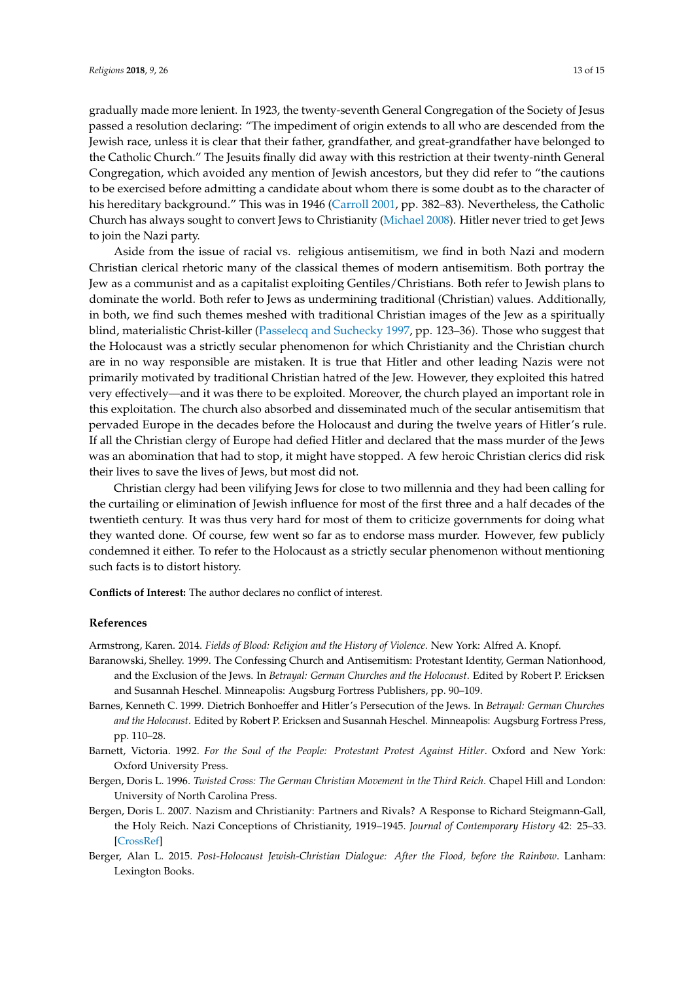gradually made more lenient. In 1923, the twenty-seventh General Congregation of the Society of Jesus passed a resolution declaring: "The impediment of origin extends to all who are descended from the Jewish race, unless it is clear that their father, grandfather, and great-grandfather have belonged to the Catholic Church." The Jesuits finally did away with this restriction at their twenty-ninth General Congregation, which avoided any mention of Jewish ancestors, but they did refer to "the cautions to be exercised before admitting a candidate about whom there is some doubt as to the character of his hereditary background." This was in 1946 [\(Carroll](#page-13-29) [2001,](#page-13-29) pp. 382–83). Nevertheless, the Catholic Church has always sought to convert Jews to Christianity [\(Michael](#page-13-30) [2008\)](#page-13-30). Hitler never tried to get Jews to join the Nazi party.

Aside from the issue of racial vs. religious antisemitism, we find in both Nazi and modern Christian clerical rhetoric many of the classical themes of modern antisemitism. Both portray the Jew as a communist and as a capitalist exploiting Gentiles/Christians. Both refer to Jewish plans to dominate the world. Both refer to Jews as undermining traditional (Christian) values. Additionally, in both, we find such themes meshed with traditional Christian images of the Jew as a spiritually blind, materialistic Christ-killer [\(Passelecq and Suchecky](#page-13-28) [1997,](#page-13-28) pp. 123–36). Those who suggest that the Holocaust was a strictly secular phenomenon for which Christianity and the Christian church are in no way responsible are mistaken. It is true that Hitler and other leading Nazis were not primarily motivated by traditional Christian hatred of the Jew. However, they exploited this hatred very effectively—and it was there to be exploited. Moreover, the church played an important role in this exploitation. The church also absorbed and disseminated much of the secular antisemitism that pervaded Europe in the decades before the Holocaust and during the twelve years of Hitler's rule. If all the Christian clergy of Europe had defied Hitler and declared that the mass murder of the Jews was an abomination that had to stop, it might have stopped. A few heroic Christian clerics did risk their lives to save the lives of Jews, but most did not.

Christian clergy had been vilifying Jews for close to two millennia and they had been calling for the curtailing or elimination of Jewish influence for most of the first three and a half decades of the twentieth century. It was thus very hard for most of them to criticize governments for doing what they wanted done. Of course, few went so far as to endorse mass murder. However, few publicly condemned it either. To refer to the Holocaust as a strictly secular phenomenon without mentioning such facts is to distort history.

**Conflicts of Interest:** The author declares no conflict of interest.

### **References**

<span id="page-12-0"></span>Armstrong, Karen. 2014. *Fields of Blood: Religion and the History of Violence*. New York: Alfred A. Knopf.

- <span id="page-12-5"></span>Baranowski, Shelley. 1999. The Confessing Church and Antisemitism: Protestant Identity, German Nationhood, and the Exclusion of the Jews. In *Betrayal: German Churches and the Holocaust*. Edited by Robert P. Ericksen and Susannah Heschel. Minneapolis: Augsburg Fortress Publishers, pp. 90–109.
- <span id="page-12-6"></span>Barnes, Kenneth C. 1999. Dietrich Bonhoeffer and Hitler's Persecution of the Jews. In *Betrayal: German Churches and the Holocaust*. Edited by Robert P. Ericksen and Susannah Heschel. Minneapolis: Augsburg Fortress Press, pp. 110–28.
- <span id="page-12-4"></span>Barnett, Victoria. 1992. *For the Soul of the People: Protestant Protest Against Hitler*. Oxford and New York: Oxford University Press.
- <span id="page-12-1"></span>Bergen, Doris L. 1996. *Twisted Cross: The German Christian Movement in the Third Reich*. Chapel Hill and London: University of North Carolina Press.
- <span id="page-12-3"></span>Bergen, Doris L. 2007. Nazism and Christianity: Partners and Rivals? A Response to Richard Steigmann-Gall, the Holy Reich. Nazi Conceptions of Christianity, 1919–1945. *Journal of Contemporary History* 42: 25–33. [\[CrossRef\]](http://dx.doi.org/10.1177/0022009407071629)
- <span id="page-12-2"></span>Berger, Alan L. 2015. *Post-Holocaust Jewish-Christian Dialogue: After the Flood, before the Rainbow*. Lanham: Lexington Books.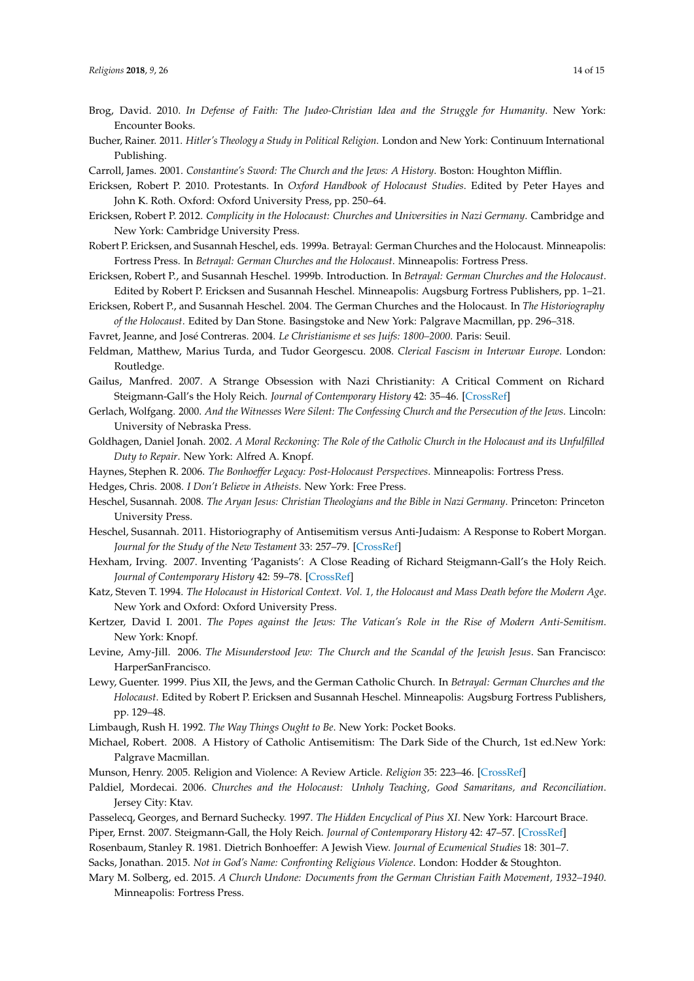- <span id="page-13-8"></span>Brog, David. 2010. *In Defense of Faith: The Judeo-Christian Idea and the Struggle for Humanity*. New York: Encounter Books.
- <span id="page-13-17"></span>Bucher, Rainer. 2011. *Hitler's Theology a Study in Political Religion*. London and New York: Continuum International Publishing.
- <span id="page-13-29"></span>Carroll, James. 2001. *Constantine's Sword: The Church and the Jews: A History*. Boston: Houghton Mifflin.
- <span id="page-13-22"></span>Ericksen, Robert P. 2010. Protestants. In *Oxford Handbook of Holocaust Studies*. Edited by Peter Hayes and John K. Roth. Oxford: Oxford University Press, pp. 250–64.
- <span id="page-13-15"></span>Ericksen, Robert P. 2012. *Complicity in the Holocaust: Churches and Universities in Nazi Germany*. Cambridge and New York: Cambridge University Press.
- <span id="page-13-2"></span>Robert P. Ericksen, and Susannah Heschel, eds. 1999a. Betrayal: German Churches and the Holocaust. Minneapolis: Fortress Press. In *Betrayal: German Churches and the Holocaust*. Minneapolis: Fortress Press.
- <span id="page-13-16"></span>Ericksen, Robert P., and Susannah Heschel. 1999b. Introduction. In *Betrayal: German Churches and the Holocaust*. Edited by Robert P. Ericksen and Susannah Heschel. Minneapolis: Augsburg Fortress Publishers, pp. 1–21.
- <span id="page-13-23"></span>Ericksen, Robert P., and Susannah Heschel. 2004. The German Churches and the Holocaust. In *The Historiography of the Holocaust*. Edited by Dan Stone. Basingstoke and New York: Palgrave Macmillan, pp. 296–318.
- <span id="page-13-27"></span>Favret, Jeanne, and José Contreras. 2004. *Le Christianisme et ses Juifs: 1800–2000*. Paris: Seuil.
- <span id="page-13-4"></span>Feldman, Matthew, Marius Turda, and Tudor Georgescu. 2008. *Clerical Fascism in Interwar Europe*. London: Routledge.
- <span id="page-13-12"></span>Gailus, Manfred. 2007. A Strange Obsession with Nazi Christianity: A Critical Comment on Richard Steigmann-Gall's the Holy Reich. *Journal of Contemporary History* 42: 35–46. [\[CrossRef\]](http://dx.doi.org/10.1177/0022009407071630)
- <span id="page-13-21"></span>Gerlach, Wolfgang. 2000. *And the Witnesses Were Silent: The Confessing Church and the Persecution of the Jews*. Lincoln: University of Nebraska Press.
- <span id="page-13-18"></span>Goldhagen, Daniel Jonah. 2002. *A Moral Reckoning: The Role of the Catholic Church in the Holocaust and its Unfulfilled Duty to Repair*. New York: Alfred A. Knopf.
- <span id="page-13-25"></span>Haynes, Stephen R. 2006. *The Bonhoeffer Legacy: Post-Holocaust Perspectives*. Minneapolis: Fortress Press.

<span id="page-13-9"></span>Hedges, Chris. 2008. *I Don't Believe in Atheists*. New York: Free Press.

- <span id="page-13-20"></span>Heschel, Susannah. 2008. *The Aryan Jesus: Christian Theologians and the Bible in Nazi Germany*. Princeton: Princeton University Press.
- <span id="page-13-5"></span>Heschel, Susannah. 2011. Historiography of Antisemitism versus Anti-Judaism: A Response to Robert Morgan. *Journal for the Study of the New Testament* 33: 257–79. [\[CrossRef\]](http://dx.doi.org/10.1177/0142064X10396142)
- <span id="page-13-13"></span>Hexham, Irving. 2007. Inventing 'Paganists': A Close Reading of Richard Steigmann-Gall's the Holy Reich. *Journal of Contemporary History* 42: 59–78. [\[CrossRef\]](http://dx.doi.org/10.1177/0022009407071632)
- <span id="page-13-6"></span>Katz, Steven T. 1994. *The Holocaust in Historical Context. Vol. 1, the Holocaust and Mass Death before the Modern Age*. New York and Oxford: Oxford University Press.
- <span id="page-13-0"></span>Kertzer, David I. 2001. *The Popes against the Jews: The Vatican's Role in the Rise of Modern Anti-Semitism*. New York: Knopf.
- <span id="page-13-11"></span>Levine, Amy-Jill. 2006. *The Misunderstood Jew: The Church and the Scandal of the Jewish Jesus*. San Francisco: HarperSanFrancisco.
- <span id="page-13-26"></span>Lewy, Guenter. 1999. Pius XII, the Jews, and the German Catholic Church. In *Betrayal: German Churches and the Holocaust*. Edited by Robert P. Ericksen and Susannah Heschel. Minneapolis: Augsburg Fortress Publishers, pp. 129–48.

<span id="page-13-10"></span>Limbaugh, Rush H. 1992. *The Way Things Ought to Be*. New York: Pocket Books.

- <span id="page-13-30"></span>Michael, Robert. 2008. A History of Catholic Antisemitism: The Dark Side of the Church, 1st ed.New York: Palgrave Macmillan.
- <span id="page-13-3"></span><span id="page-13-1"></span>Munson, Henry. 2005. Religion and Violence: A Review Article. *Religion* 35: 223–46. [\[CrossRef\]](http://dx.doi.org/10.1016/j.religion.2005.10.006)
- Paldiel, Mordecai. 2006. *Churches and the Holocaust: Unholy Teaching, Good Samaritans, and Reconciliation*. Jersey City: Ktav.
- <span id="page-13-28"></span>Passelecq, Georges, and Bernard Suchecky. 1997. *The Hidden Encyclical of Pius XI*. New York: Harcourt Brace.

<span id="page-13-14"></span>Piper, Ernst. 2007. Steigmann-Gall, the Holy Reich. *Journal of Contemporary History* 42: 47–57. [\[CrossRef\]](http://dx.doi.org/10.1177/0022009407071631)

<span id="page-13-24"></span>Rosenbaum, Stanley R. 1981. Dietrich Bonhoeffer: A Jewish View. *Journal of Ecumenical Studies* 18: 301–7.

<span id="page-13-7"></span>Sacks, Jonathan. 2015. *Not in God's Name: Confronting Religious Violence*. London: Hodder & Stoughton.

<span id="page-13-19"></span>Mary M. Solberg, ed. 2015. *A Church Undone: Documents from the German Christian Faith Movement, 1932–1940*. Minneapolis: Fortress Press.